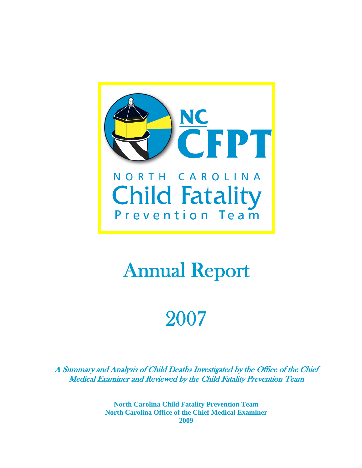

# Annual Report

# 2007

A Summary and Analysis of Child Deaths Investigated by the Office of the Chief Medical Examiner and Reviewed by the Child Fatality Prevention Team

> **North Carolina Child Fatality Prevention Team North Carolina Office of the Chief Medical Examiner 2009**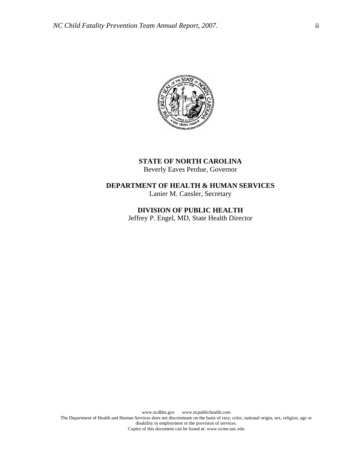

## **STATE OF NORTH CAROLINA**  Beverly Eaves Perdue, Governor

## **DEPARTMENT OF HEALTH & HUMAN SERVICES**  Lanier M. Cansler, Secretary

**DIVISION OF PUBLIC HEALTH**  Jeffrey P. Engel, MD, State Health Director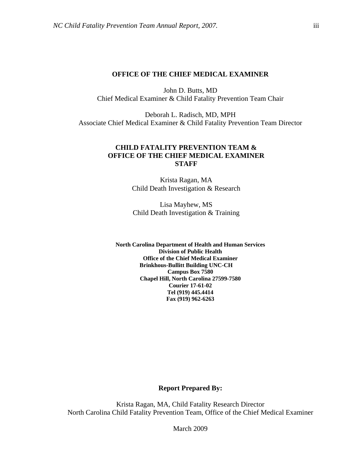#### **OFFICE OF THE CHIEF MEDICAL EXAMINER**

John D. Butts, MD Chief Medical Examiner & Child Fatality Prevention Team Chair

Deborah L. Radisch, MD, MPH Associate Chief Medical Examiner & Child Fatality Prevention Team Director

## **CHILD FATALITY PREVENTION TEAM & OFFICE OF THE CHIEF MEDICAL EXAMINER STAFF**

Krista Ragan, MA Child Death Investigation & Research

Lisa Mayhew, MS Child Death Investigation & Training

**North Carolina Department of Health and Human Services Division of Public Health Office of the Chief Medical Examiner Brinkhous-Bullitt Building UNC-CH Campus Box 7580 Chapel Hill, North Carolina 27599-7580 Courier 17-61-02 Tel (919) 445.4414 Fax (919) 962-6263** 

## **Report Prepared By:**

Krista Ragan, MA, Child Fatality Research Director North Carolina Child Fatality Prevention Team, Office of the Chief Medical Examiner

March 2009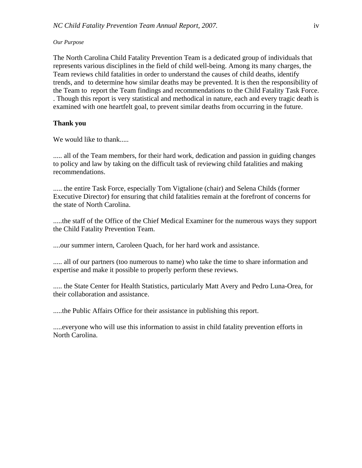#### *Our Purpose*

The North Carolina Child Fatality Prevention Team is a dedicated group of individuals that represents various disciplines in the field of child well-being. Among its many charges, the Team reviews child fatalities in order to understand the causes of child deaths, identify trends, and to determine how similar deaths may be prevented. It is then the responsibility of the Team to report the Team findings and recommendations to the Child Fatality Task Force. . Though this report is very statistical and methodical in nature, each and every tragic death is examined with one heartfelt goal, to prevent similar deaths from occurring in the future.

## **Thank you**

We would like to thank.....

..... all of the Team members, for their hard work, dedication and passion in guiding changes to policy and law by taking on the difficult task of reviewing child fatalities and making recommendations.

..... the entire Task Force, especially Tom Vigtalione (chair) and Selena Childs (former Executive Director) for ensuring that child fatalities remain at the forefront of concerns for the state of North Carolina.

.....the staff of the Office of the Chief Medical Examiner for the numerous ways they support the Child Fatality Prevention Team.

....our summer intern, Caroleen Quach, for her hard work and assistance.

..... all of our partners (too numerous to name) who take the time to share information and expertise and make it possible to properly perform these reviews.

..... the State Center for Health Statistics, particularly Matt Avery and Pedro Luna-Orea, for their collaboration and assistance.

.....the Public Affairs Office for their assistance in publishing this report.

.....everyone who will use this information to assist in child fatality prevention efforts in North Carolina.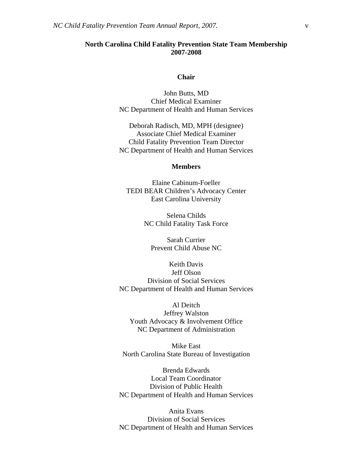## **North Carolina Child Fatality Prevention State Team Membership 2007-2008**

#### **Chair**

John Butts, MD Chief Medical Examiner NC Department of Health and Human Services

Deborah Radisch, MD, MPH (designee) Associate Chief Medical Examiner Child Fatality Prevention Team Director NC Department of Health and Human Services

### **Members**

Elaine Cabinum-Foeller TEDI BEAR Children's Advocacy Center East Carolina University

> Selena Childs NC Child Fatality Task Force

Sarah Currier Prevent Child Abuse NC

Keith Davis Jeff Olson Division of Social Services NC Department of Health and Human Services

Al Deitch Jeffrey Walston Youth Advocacy & Involvement Office NC Department of Administration

Mike East North Carolina State Bureau of Investigation

Brenda Edwards Local Team Coordinator Division of Public Health NC Department of Health and Human Services

Anita Evans Division of Social Services NC Department of Health and Human Services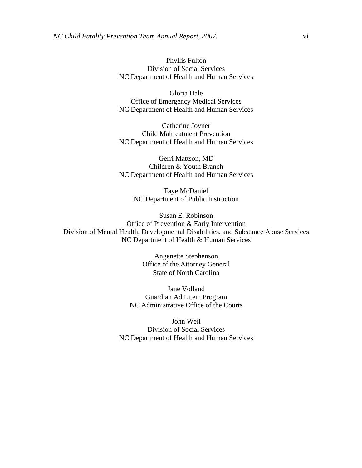Phyllis Fulton Division of Social Services NC Department of Health and Human Services

Gloria Hale Office of Emergency Medical Services NC Department of Health and Human Services

Catherine Joyner Child Maltreatment Prevention NC Department of Health and Human Services

Gerri Mattson, MD Children & Youth Branch NC Department of Health and Human Services

> Faye McDaniel NC Department of Public Instruction

Susan E. Robinson Office of Prevention & Early Intervention Division of Mental Health, Developmental Disabilities, and Substance Abuse Services NC Department of Health & Human Services

> Angenette Stephenson Office of the Attorney General State of North Carolina

Jane Volland Guardian Ad Litem Program NC Administrative Office of the Courts

John Weil Division of Social Services NC Department of Health and Human Services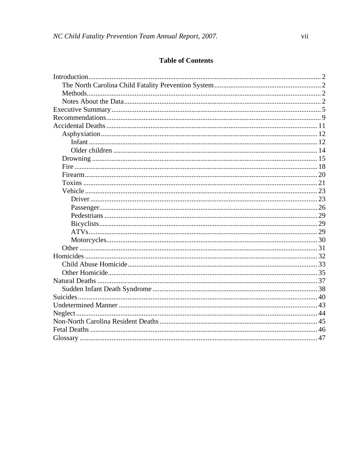# **Table of Contents**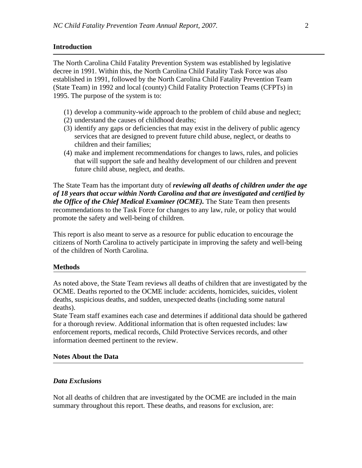## **Introduction**

The North Carolina Child Fatality Prevention System was established by legislative decree in 1991. Within this, the North Carolina Child Fatality Task Force was also established in 1991, followed by the North Carolina Child Fatality Prevention Team (State Team) in 1992 and local (county) Child Fatality Protection Teams (CFPTs) in 1995. The purpose of the system is to:

- (1) develop a community-wide approach to the problem of child abuse and neglect;
- (2) understand the causes of childhood deaths;
- (3) identify any gaps or deficiencies that may exist in the delivery of public agency services that are designed to prevent future child abuse, neglect, or deaths to children and their families;
- (4) make and implement recommendations for changes to laws, rules, and policies that will support the safe and healthy development of our children and prevent future child abuse, neglect, and deaths.

The State Team has the important duty of *reviewing all deaths of children under the age of 18 years that occur within North Carolina and that are investigated and certified by the Office of the Chief Medical Examiner (OCME).* The State Team then presents recommendations to the Task Force for changes to any law, rule, or policy that would promote the safety and well-being of children.

This report is also meant to serve as a resource for public education to encourage the citizens of North Carolina to actively participate in improving the safety and well-being of the children of North Carolina.

#### **Methods**

As noted above, the State Team reviews all deaths of children that are investigated by the OCME. Deaths reported to the OCME include: accidents, homicides, suicides, violent deaths, suspicious deaths, and sudden, unexpected deaths (including some natural deaths).

State Team staff examines each case and determines if additional data should be gathered for a thorough review. Additional information that is often requested includes: law enforcement reports, medical records, Child Protective Services records, and other information deemed pertinent to the review.

## **Notes About the Data**

#### *Data Exclusions*

Not all deaths of children that are investigated by the OCME are included in the main summary throughout this report. These deaths, and reasons for exclusion, are: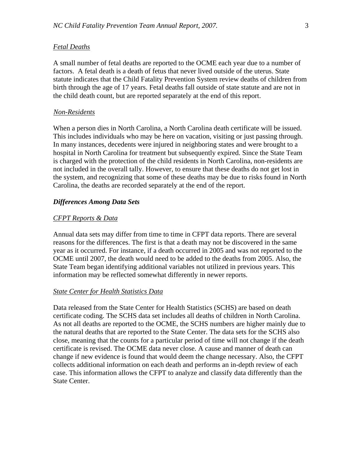#### *Fetal Deaths*

A small number of fetal deaths are reported to the OCME each year due to a number of factors. A fetal death is a death of fetus that never lived outside of the uterus. State statute indicates that the Child Fatality Prevention System review deaths of children from birth through the age of 17 years. Fetal deaths fall outside of state statute and are not in the child death count, but are reported separately at the end of this report.

#### *Non-Residents*

When a person dies in North Carolina, a North Carolina death certificate will be issued. This includes individuals who may be here on vacation, visiting or just passing through. In many instances, decedents were injured in neighboring states and were brought to a hospital in North Carolina for treatment but subsequently expired. Since the State Team is charged with the protection of the child residents in North Carolina, non-residents are not included in the overall tally. However, to ensure that these deaths do not get lost in the system, and recognizing that some of these deaths may be due to risks found in North Carolina, the deaths are recorded separately at the end of the report.

#### *Differences Among Data Sets*

## *CFPT Reports & Data*

Annual data sets may differ from time to time in CFPT data reports. There are several reasons for the differences. The first is that a death may not be discovered in the same year as it occurred. For instance, if a death occurred in 2005 and was not reported to the OCME until 2007, the death would need to be added to the deaths from 2005. Also, the State Team began identifying additional variables not utilized in previous years. This information may be reflected somewhat differently in newer reports.

#### *State Center for Health Statistics Data*

Data released from the State Center for Health Statistics (SCHS) are based on death certificate coding. The SCHS data set includes all deaths of children in North Carolina. As not all deaths are reported to the OCME, the SCHS numbers are higher mainly due to the natural deaths that are reported to the State Center. The data sets for the SCHS also close, meaning that the counts for a particular period of time will not change if the death certificate is revised. The OCME data never close. A cause and manner of death can change if new evidence is found that would deem the change necessary. Also, the CFPT collects additional information on each death and performs an in-depth review of each case. This information allows the CFPT to analyze and classify data differently than the State Center.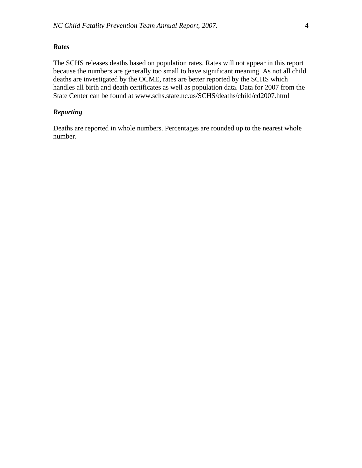The SCHS releases deaths based on population rates. Rates will not appear in this report because the numbers are generally too small to have significant meaning. As not all child deaths are investigated by the OCME, rates are better reported by the SCHS which handles all birth and death certificates as well as population data. Data for 2007 from the State Center can be found at www.schs.state.nc.us/SCHS/deaths/child/cd2007.html

## *Reporting*

Deaths are reported in whole numbers. Percentages are rounded up to the nearest whole number.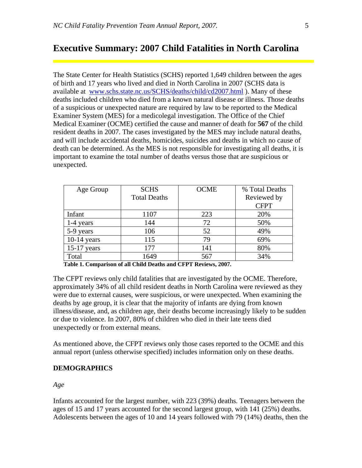# **Executive Summary: 2007 Child Fatalities in North Carolina**

The State Center for Health Statistics (SCHS) reported 1,649 children between the ages of birth and 17 years who lived and died in North Carolina in 2007 (SCHS data is available at [www.schs.state.nc.us/SCHS/deaths/child/cd2007.html](http://www.schs.state.nc.us/SCHS/deaths/child/cd2007.html) ). Many of these deaths included children who died from a known natural disease or illness. Those deaths of a suspicious or unexpected nature are required by law to be reported to the Medical Examiner System (MES) for a medicolegal investigation. The Office of the Chief Medical Examiner (OCME) certified the cause and manner of death for **567** of the child resident deaths in 2007. The cases investigated by the MES may include natural deaths, and will include accidental deaths, homicides, suicides and deaths in which no cause of death can be determined. As the MES is not responsible for investigating all deaths, it is important to examine the total number of deaths versus those that are suspicious or unexpected.

| Age Group     | <b>SCHS</b>         | <b>OCME</b> | % Total Deaths |
|---------------|---------------------|-------------|----------------|
|               | <b>Total Deaths</b> |             | Reviewed by    |
|               |                     |             | <b>CFPT</b>    |
| Infant        | 1107                | 223         | 20%            |
| 1-4 years     | 144                 | 72          | 50%            |
| 5-9 years     | 106                 | 52          | 49%            |
| $10-14$ years | 115                 | 79          | 69%            |
| $15-17$ years | 177                 | 141         | 80%            |
| Total         | 1649                | 567         | 34%            |

 **Table 1. Comparison of all Child Deaths and CFPT Reviews, 2007.** 

The CFPT reviews only child fatalities that are investigated by the OCME. Therefore, approximately 34% of all child resident deaths in North Carolina were reviewed as they were due to external causes, were suspicious, or were unexpected. When examining the deaths by age group, it is clear that the majority of infants are dying from known illness/disease, and, as children age, their deaths become increasingly likely to be sudden or due to violence. In 2007, 80% of children who died in their late teens died unexpectedly or from external means.

As mentioned above, the CFPT reviews only those cases reported to the OCME and this annual report (unless otherwise specified) includes information only on these deaths.

## **DEMOGRAPHICS**

*Age* 

Infants accounted for the largest number, with 223 (39%) deaths. Teenagers between the ages of 15 and 17 years accounted for the second largest group, with 141 (25%) deaths. Adolescents between the ages of 10 and 14 years followed with 79 (14%) deaths, then the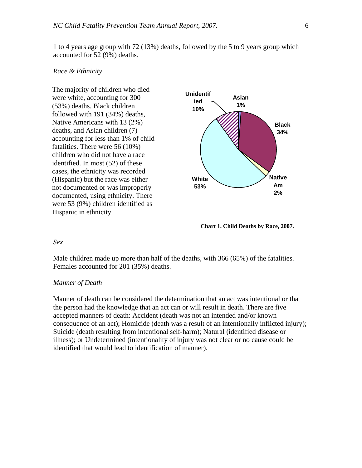#### *Race & Ethnicity*

The majority of children who died were white, accounting for 300 (53%) deaths. Black children followed with 191 (34%) deaths, Native Americans with 13 (2%) deaths, and Asian children (7) accounting for less than 1% of child fatalities. There were 56 (10%) children who did not have a race identified. In most (52) of these cases, the ethnicity was recorded (Hispanic) but the race was either not documented or was improperly documented, using ethnicity. There were 53 (9%) children identified as Hispanic in ethnicity.



**Chart 1. Child Deaths by Race, 2007.** 

#### *Sex*

Male children made up more than half of the deaths, with 366 (65%) of the fatalities. Females accounted for 201 (35%) deaths.

## *Manner of Death*

Manner of death can be considered the determination that an act was intentional or that the person had the knowledge that an act can or will result in death. There are five accepted manners of death: Accident (death was not an intended and/or known consequence of an act); Homicide (death was a result of an intentionally inflicted injury); Suicide (death resulting from intentional self-harm); Natural (identified disease or illness); or Undetermined (intentionality of injury was not clear or no cause could be identified that would lead to identification of manner).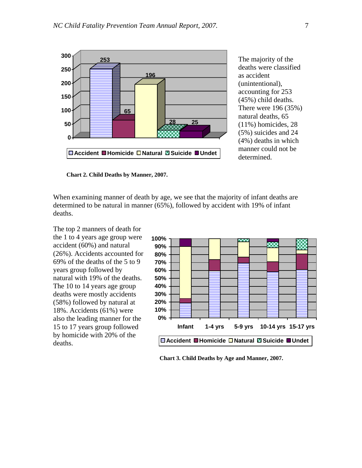

The majority of the deaths were classified as accident (unintentional), accounting for 253 (45%) child deaths. There were 196 (35%) natural deaths, 65 (11%) homicides, 28 (5%) suicides and 24 (4%) deaths in which manner could not be determined.

 **Chart 2. Child Deaths by Manner, 2007.** 

When examining manner of death by age, we see that the majority of infant deaths are determined to be natural in manner (65%), followed by accident with 19% of infant deaths.

The top 2 manners of death for the 1 to 4 years age group were accident (60%) and natural (26%). Accidents accounted for 69% of the deaths of the 5 to 9 years group followed by natural with 19% of the deaths. The 10 to 14 years age group deaths were mostly accidents (58%) followed by natural at 18%. Accidents (61%) were also the leading manner for the 15 to 17 years group followed by homicide with 20% of the deaths.



**Chart 3. Child Deaths by Age and Manner, 2007.**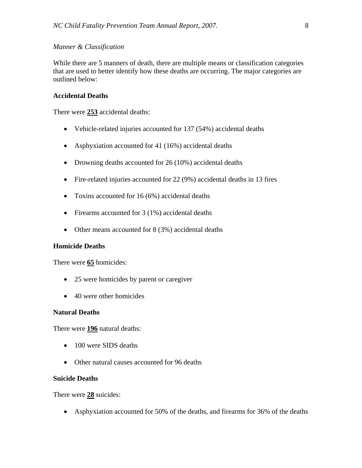## *Manner & Classification*

While there are 5 manners of death, there are multiple means or classification categories that are used to better identify how these deaths are occurring. The major categories are outlined below:

#### **Accidental Deaths**

There were **253** accidental deaths:

- Vehicle-related injuries accounted for 137 (54%) accidental deaths
- Asphyxiation accounted for 41 (16%) accidental deaths
- Drowning deaths accounted for 26 (10%) accidental deaths
- Fire-related injuries accounted for 22 (9%) accidental deaths in 13 fires
- Toxins accounted for 16 (6%) accidental deaths
- Firearms accounted for 3 (1%) accidental deaths
- Other means accounted for 8 (3%) accidental deaths

#### **Homicide Deaths**

There were **65** homicides:

- 25 were homicides by parent or caregiver
- 40 were other homicides

## **Natural Deaths**

There were **196** natural deaths:

- 100 were SIDS deaths
- Other natural causes accounted for 96 deaths

## **Suicide Deaths**

There were **28** suicides:

• Asphyxiation accounted for 50% of the deaths, and firearms for 36% of the deaths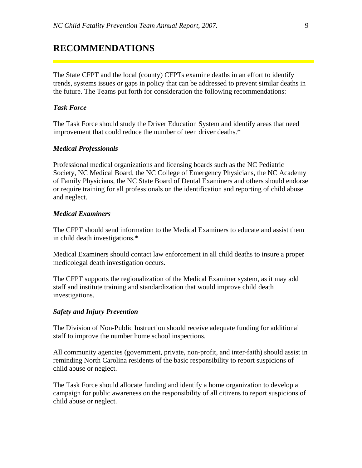# **RECOMMENDATIONS**

The State CFPT and the local (county) CFPTs examine deaths in an effort to identify trends, systems issues or gaps in policy that can be addressed to prevent similar deaths in the future. The Teams put forth for consideration the following recommendations:

## *Task Force*

The Task Force should study the Driver Education System and identify areas that need improvement that could reduce the number of teen driver deaths.\*

#### *Medical Professionals*

Professional medical organizations and licensing boards such as the NC Pediatric Society, NC Medical Board, the NC College of Emergency Physicians, the NC Academy of Family Physicians, the NC State Board of Dental Examiners and others should endorse or require training for all professionals on the identification and reporting of child abuse and neglect.

#### *Medical Examiners*

The CFPT should send information to the Medical Examiners to educate and assist them in child death investigations.\*

Medical Examiners should contact law enforcement in all child deaths to insure a proper medicolegal death investigation occurs.

The CFPT supports the regionalization of the Medical Examiner system, as it may add staff and institute training and standardization that would improve child death investigations.

#### *Safety and Injury Prevention*

The Division of Non-Public Instruction should receive adequate funding for additional staff to improve the number home school inspections.

All community agencies (government, private, non-profit, and inter-faith) should assist in reminding North Carolina residents of the basic responsibility to report suspicions of child abuse or neglect.

The Task Force should allocate funding and identify a home organization to develop a campaign for public awareness on the responsibility of all citizens to report suspicions of child abuse or neglect.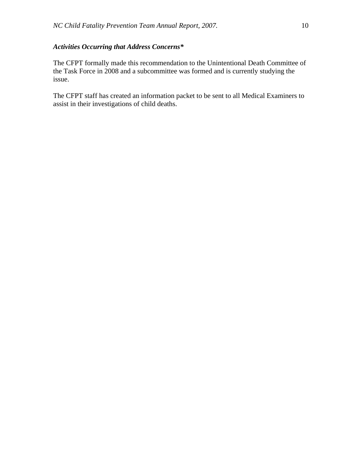## *Activities Occurring that Address Concerns\**

The CFPT formally made this recommendation to the Unintentional Death Committee of the Task Force in 2008 and a subcommittee was formed and is currently studying the issue.

The CFPT staff has created an information packet to be sent to all Medical Examiners to assist in their investigations of child deaths.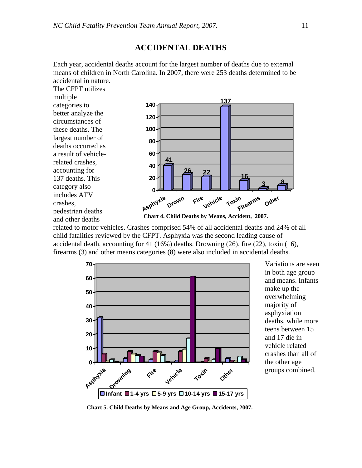## **ACCIDENTAL DEATHS**

Each year, accidental deaths account for the largest number of deaths due to external means of children in North Carolina. In 2007, there were 253 deaths determined to be accidental in nature.

The CFPT utilizes multiple categories to better analyze the circumstances of these deaths. The largest number of deaths occurred as a result of vehiclerelated crashes, accounting for 137 deaths. This category also includes ATV crashes, pedestrian deaths and other deaths



**Chart 4. Child Deaths by Means, Accident, 2007.** 

related to motor vehicles. Crashes comprised 54% of all accidental deaths and 24% of all child fatalities reviewed by the CFPT. Asphyxia was the second leading cause of accidental death, accounting for 41 (16%) deaths. Drowning (26), fire (22), toxin (16), firearms (3) and other means categories (8) were also included in accidental deaths.



Variations are seen in both age group and means. Infants make up the overwhelming majority of asphyxiation deaths, while more teens between 15 and 17 die in vehicle related crashes than all of the other age groups combined.

**Chart 5. Child Deaths by Means and Age Group, Accidents, 2007.**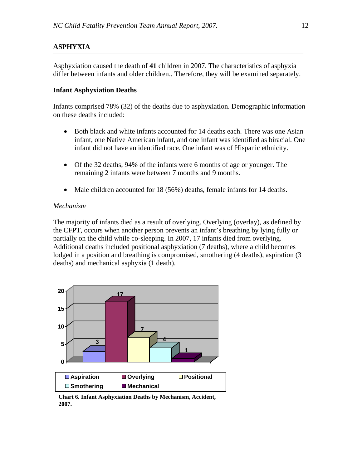## **ASPHYXIA**

Asphyxiation caused the death of **41** children in 2007. The characteristics of asphyxia differ between infants and older children.. Therefore, they will be examined separately.

## **Infant Asphyxiation Deaths**

Infants comprised 78% (32) of the deaths due to asphyxiation. Demographic information on these deaths included:

- Both black and white infants accounted for 14 deaths each. There was one Asian infant, one Native American infant, and one infant was identified as biracial. One infant did not have an identified race. One infant was of Hispanic ethnicity.
- Of the 32 deaths, 94% of the infants were 6 months of age or younger. The remaining 2 infants were between 7 months and 9 months.
- Male children accounted for 18 (56%) deaths, female infants for 14 deaths.

## *Mechanism*

The majority of infants died as a result of overlying. Overlying (overlay), as defined by the CFPT, occurs when another person prevents an infant's breathing by lying fully or partially on the child while co-sleeping. In 2007, 17 infants died from overlying. Additional deaths included positional asphyxiation (7 deaths), where a child becomes lodged in a position and breathing is compromised, smothering (4 deaths), aspiration (3 deaths) and mechanical asphyxia (1 death).



**Chart 6. Infant Asphyxiation Deaths by Mechanism, Accident, 2007.**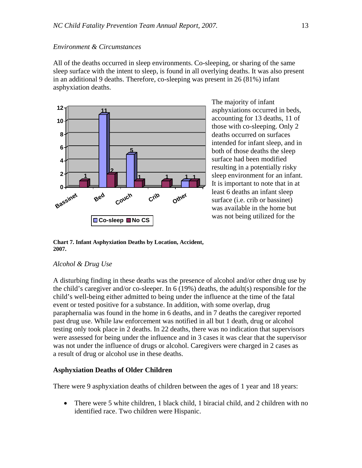## *Environment & Circumstances*

All of the deaths occurred in sleep environments. Co-sleeping, or sharing of the same sleep surface with the intent to sleep, is found in all overlying deaths. It was also present in an additional 9 deaths. Therefore, co-sleeping was present in 26 (81%) infant asphyxiation deaths.



The majority of infant asphyxiations occurred in beds, accounting for 13 deaths, 11 of those with co-sleeping. Only 2 deaths occurred on surfaces intended for infant sleep, and in both of those deaths the sleep surface had been modified resulting in a potentially risky sleep environment for an infant. It is important to note that in at least 6 deaths an infant sleep surface (i.e. crib or bassinet) was available in the home but was not being utilized for the

**Chart 7. Infant Asphyxiation Deaths by Location, Accident, 2007.** 

## *Alcohol & Drug Use*

A disturbing finding in these deaths was the presence of alcohol and/or other drug use by the child's caregiver and/or co-sleeper. In 6 (19%) deaths, the adult(s) responsible for the child's well-being either admitted to being under the influence at the time of the fatal event or tested positive for a substance. In addition, with some overlap, drug paraphernalia was found in the home in 6 deaths, and in 7 deaths the caregiver reported past drug use. While law enforcement was notified in all but 1 death, drug or alcohol testing only took place in 2 deaths. In 22 deaths, there was no indication that supervisors were assessed for being under the influence and in 3 cases it was clear that the supervisor was not under the influence of drugs or alcohol. Caregivers were charged in 2 cases as a result of drug or alcohol use in these deaths.

## **Asphyxiation Deaths of Older Children**

There were 9 asphyxiation deaths of children between the ages of 1 year and 18 years:

• There were 5 white children, 1 black child, 1 biracial child, and 2 children with no identified race. Two children were Hispanic.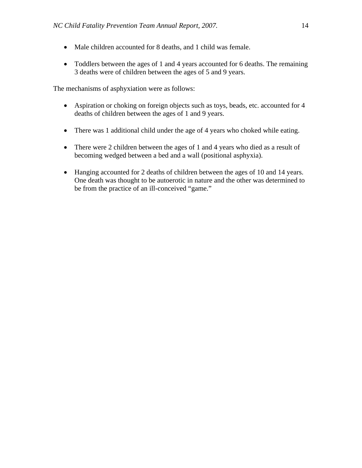- Male children accounted for 8 deaths, and 1 child was female.
- Toddlers between the ages of 1 and 4 years accounted for 6 deaths. The remaining 3 deaths were of children between the ages of 5 and 9 years.

The mechanisms of asphyxiation were as follows:

- Aspiration or choking on foreign objects such as toys, beads, etc. accounted for 4 deaths of children between the ages of 1 and 9 years.
- There was 1 additional child under the age of 4 years who choked while eating.
- There were 2 children between the ages of 1 and 4 years who died as a result of becoming wedged between a bed and a wall (positional asphyxia).
- Hanging accounted for 2 deaths of children between the ages of 10 and 14 years. One death was thought to be autoerotic in nature and the other was determined to be from the practice of an ill-conceived "game."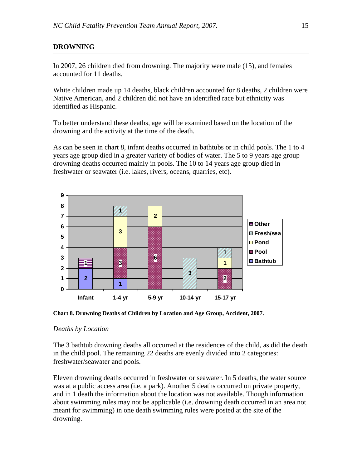## **DROWNING**

In 2007, 26 children died from drowning. The majority were male (15), and females accounted for 11 deaths.

White children made up 14 deaths, black children accounted for 8 deaths, 2 children were Native American, and 2 children did not have an identified race but ethnicity was identified as Hispanic.

To better understand these deaths, age will be examined based on the location of the drowning and the activity at the time of the death.

As can be seen in chart 8, infant deaths occurred in bathtubs or in child pools. The 1 to 4 years age group died in a greater variety of bodies of water. The 5 to 9 years age group drowning deaths occurred mainly in pools. The 10 to 14 years age group died in freshwater or seawater (i.e. lakes, rivers, oceans, quarries, etc).



**Chart 8. Drowning Deaths of Children by Location and Age Group, Accident, 2007.** 

## *Deaths by Location*

The 3 bathtub drowning deaths all occurred at the residences of the child, as did the death in the child pool. The remaining 22 deaths are evenly divided into 2 categories: freshwater/seawater and pools.

Eleven drowning deaths occurred in freshwater or seawater. In 5 deaths, the water source was at a public access area (i.e. a park). Another 5 deaths occurred on private property, and in 1 death the information about the location was not available. Though information about swimming rules may not be applicable (i.e. drowning death occurred in an area not meant for swimming) in one death swimming rules were posted at the site of the drowning.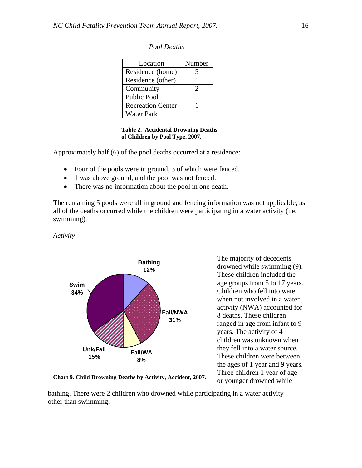| Location                 | Number |
|--------------------------|--------|
| Residence (home)         |        |
| Residence (other)        |        |
| Community                |        |
| <b>Public Pool</b>       |        |
| <b>Recreation Center</b> |        |
| <b>Water Park</b>        |        |

## *Pool Deaths*

 **Table 2. Accidental Drowning Deaths of Children by Pool Type, 2007.** 

Approximately half (6) of the pool deaths occurred at a residence:

- Four of the pools were in ground, 3 of which were fenced.
- 1 was above ground, and the pool was not fenced.
- There was no information about the pool in one death.

The remaining 5 pools were all in ground and fencing information was not applicable, as all of the deaths occurred while the children were participating in a water activity (i.e. swimming).

*Activity* 



The majority of decedents drowned while swimming (9). These children included the age groups from 5 to 17 years. Children who fell into water when not involved in a water activity (NWA) accounted for 8 deaths. These children ranged in age from infant to 9 years. The activity of 4 children was unknown when they fell into a water source. These children were between the ages of 1 year and 9 years. Three children 1 year of age or younger drowned while

**Chart 9. Child Drowning Deaths by Activity, Accident, 2007.** 

bathing. There were 2 children who drowned while participating in a water activity other than swimming.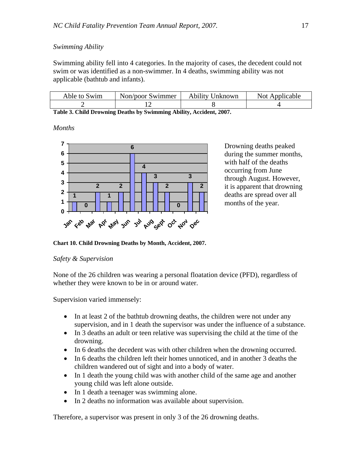## *Swimming Ability*

Swimming ability fell into 4 categories. In the majority of cases, the decedent could not swim or was identified as a non-swimmer. In 4 deaths, swimming ability was not applicable (bathtub and infants).

| Able to Swim | Non/poor Swimmer | <b>Ability Unknown</b> | Not Applicable |
|--------------|------------------|------------------------|----------------|
|              |                  |                        |                |

**Table 3. Child Drowning Deaths by Swimming Ability, Accident, 2007.** 

*Months* 



Drowning deaths peaked during the summer months, with half of the deaths occurring from June through August. However, it is apparent that drowning deaths are spread over all months of the year.

**Chart 10. Child Drowning Deaths by Month, Accident, 2007.** 

#### *Safety & Supervision*

None of the 26 children was wearing a personal floatation device (PFD), regardless of whether they were known to be in or around water.

Supervision varied immensely:

- In at least 2 of the bathtub drowning deaths, the children were not under any supervision, and in 1 death the supervisor was under the influence of a substance.
- In 3 deaths an adult or teen relative was supervising the child at the time of the drowning.
- In 6 deaths the decedent was with other children when the drowning occurred.
- In 6 deaths the children left their homes unnoticed, and in another 3 deaths the children wandered out of sight and into a body of water.
- In 1 death the young child was with another child of the same age and another young child was left alone outside.
- In 1 death a teenager was swimming alone.
- In 2 deaths no information was available about supervision.

Therefore, a supervisor was present in only 3 of the 26 drowning deaths.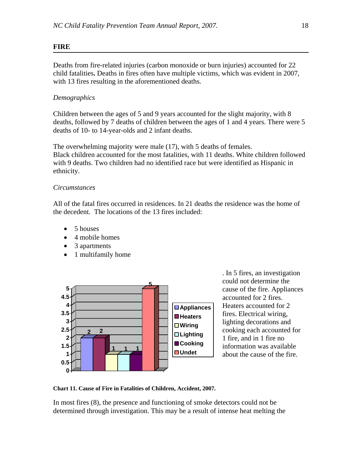## **FIRE**

Deaths from fire-related injuries (carbon monoxide or burn injuries) accounted for 22 child fatalities**.** Deaths in fires often have multiple victims, which was evident in 2007, with 13 fires resulting in the aforementioned deaths.

## *Demographics*

Children between the ages of 5 and 9 years accounted for the slight majority, with 8 deaths, followed by 7 deaths of children between the ages of 1 and 4 years. There were 5 deaths of 10- to 14-year-olds and 2 infant deaths.

The overwhelming majority were male (17), with 5 deaths of females. Black children accounted for the most fatalities, with 11 deaths. White children followed with 9 deaths. Two children had no identified race but were identified as Hispanic in ethnicity.

## *Circumstances*

All of the fatal fires occurred in residences. In 21 deaths the residence was the home of the decedent. The locations of the 13 fires included:

- 5 houses
- 4 mobile homes
- 3 apartments
- 1 multifamily home



. In 5 fires, an investigation could not determine the cause of the fire. Appliances accounted for 2 fires. Heaters accounted for 2 fires. Electrical wiring, lighting decorations and cooking each accounted for 1 fire, and in 1 fire no information was available about the cause of the fire.

**Chart 11. Cause of Fire in Fatalities of Children, Accident, 2007.**

In most fires (8), the presence and functioning of smoke detectors could not be determined through investigation. This may be a result of intense heat melting the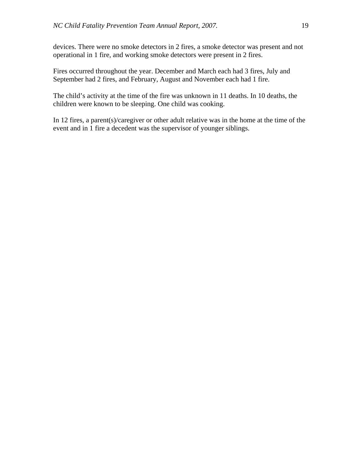devices. There were no smoke detectors in 2 fires, a smoke detector was present and not operational in 1 fire, and working smoke detectors were present in 2 fires.

Fires occurred throughout the year. December and March each had 3 fires, July and September had 2 fires, and February, August and November each had 1 fire.

The child's activity at the time of the fire was unknown in 11 deaths. In 10 deaths, the children were known to be sleeping. One child was cooking.

In 12 fires, a parent(s)/caregiver or other adult relative was in the home at the time of the event and in 1 fire a decedent was the supervisor of younger siblings.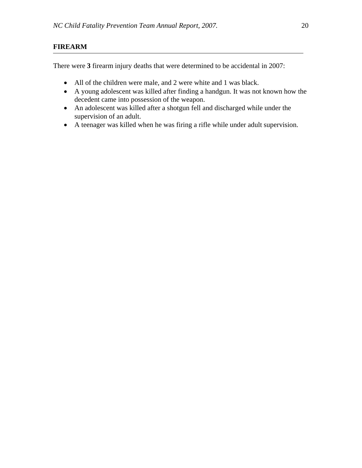## **FIREARM**

There were **3** firearm injury deaths that were determined to be accidental in 2007:

- All of the children were male, and 2 were white and 1 was black.
- A young adolescent was killed after finding a handgun. It was not known how the decedent came into possession of the weapon.
- An adolescent was killed after a shotgun fell and discharged while under the supervision of an adult.
- A teenager was killed when he was firing a rifle while under adult supervision.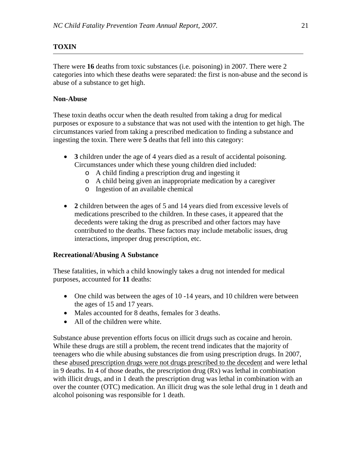## **TOXIN**

There were **16** deaths from toxic substances (i.e. poisoning) in 2007. There were 2 categories into which these deaths were separated: the first is non-abuse and the second is abuse of a substance to get high.

## **Non-Abuse**

These toxin deaths occur when the death resulted from taking a drug for medical purposes or exposure to a substance that was not used with the intention to get high. The circumstances varied from taking a prescribed medication to finding a substance and ingesting the toxin. There were **5** deaths that fell into this category:

- **3** children under the age of 4 years died as a result of accidental poisoning. Circumstances under which these young children died included:
	- o A child finding a prescription drug and ingesting it
	- o A child being given an inappropriate medication by a caregiver
	- o Ingestion of an available chemical
- **2** children between the ages of 5 and 14 years died from excessive levels of medications prescribed to the children. In these cases, it appeared that the decedents were taking the drug as prescribed and other factors may have contributed to the deaths. These factors may include metabolic issues, drug interactions, improper drug prescription, etc.

## **Recreational/Abusing A Substance**

These fatalities, in which a child knowingly takes a drug not intended for medical purposes, accounted for **11** deaths:

- One child was between the ages of 10 -14 years, and 10 children were between the ages of 15 and 17 years.
- Males accounted for 8 deaths, females for 3 deaths.
- All of the children were white.

Substance abuse prevention efforts focus on illicit drugs such as cocaine and heroin. While these drugs are still a problem, the recent trend indicates that the majority of teenagers who die while abusing substances die from using prescription drugs. In 2007, these abused prescription drugs were not drugs prescribed to the decedent and were lethal in 9 deaths. In 4 of those deaths, the prescription drug (Rx) was lethal in combination with illicit drugs, and in 1 death the prescription drug was lethal in combination with an over the counter (OTC) medication. An illicit drug was the sole lethal drug in 1 death and alcohol poisoning was responsible for 1 death.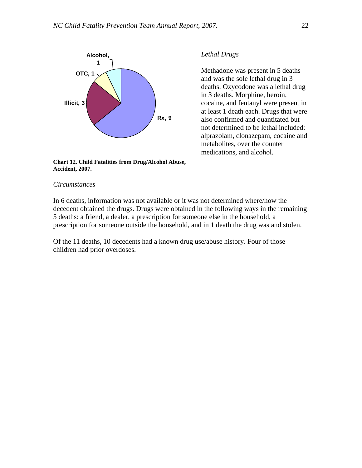

**Chart 12. Child Fatalities from Drug/Alcohol Abuse, Accident, 2007.** 

#### *Circumstances*

## In 6 deaths, information was not available or it was not determined where/how the decedent obtained the drugs. Drugs were obtained in the following ways in the remaining 5 deaths: a friend, a dealer, a prescription for someone else in the household, a prescription for someone outside the household, and in 1 death the drug was and stolen.

Of the 11 deaths, 10 decedents had a known drug use/abuse history. Four of those children had prior overdoses.

#### *Lethal Drugs*

Methadone was present in 5 deaths and was the sole lethal drug in 3 deaths. Oxycodone was a lethal drug in 3 deaths. Morphine, heroin, cocaine, and fentanyl were present in at least 1 death each. Drugs that were also confirmed and quantitated but not determined to be lethal included: alprazolam, clonazepam, cocaine and metabolites, over the counter medications, and alcohol.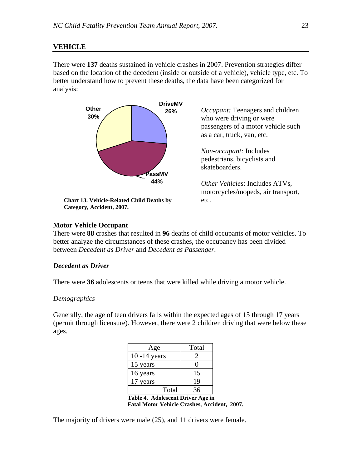#### **VEHICLE**

There were **137** deaths sustained in vehicle crashes in 2007. Prevention strategies differ based on the location of the decedent (inside or outside of a vehicle), vehicle type, etc. To better understand how to prevent these deaths, the data have been categorized for analysis:



**Chart 13. Vehicle-Related Child Deaths by Category, Accident, 2007.** 

*Occupant:* Teenagers and children who were driving or were passengers of a motor vehicle such as a car, truck, van, etc.

*Non-occupant:* Includes pedestrians, bicyclists and skateboarders.

*Other Vehicles*: Includes ATVs, motorcycles/mopeds, air transport, etc.

## **Motor Vehicle Occupant**

There were **88** crashes that resulted in **96** deaths of child occupants of motor vehicles. To better analyze the circumstances of these crashes, the occupancy has been divided between *Decedent as Driver* and *Decedent as Passenger*.

## *Decedent as Driver*

There were **36** adolescents or teens that were killed while driving a motor vehicle.

#### *Demographics*

Generally, the age of teen drivers falls within the expected ages of 15 through 17 years (permit through licensure). However, there were 2 children driving that were below these ages.

| Total |
|-------|
|       |
|       |
| 15    |
| 19    |
| 36    |
|       |

**Table 4. Adolescent Driver Age in Fatal Motor Vehicle Crashes, Accident, 2007.** 

The majority of drivers were male (25), and 11 drivers were female.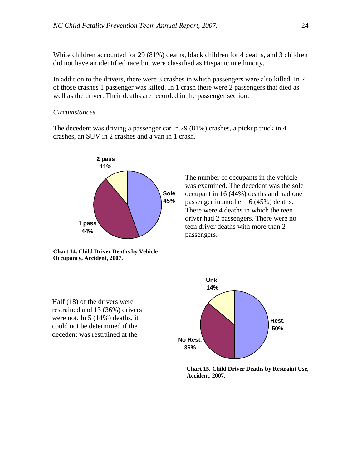White children accounted for 29 (81%) deaths, black children for 4 deaths, and 3 children did not have an identified race but were classified as Hispanic in ethnicity.

In addition to the drivers, there were 3 crashes in which passengers were also killed. In 2 of those crashes 1 passenger was killed. In 1 crash there were 2 passengers that died as well as the driver. Their deaths are recorded in the passenger section.

#### *Circumstances*

The decedent was driving a passenger car in 29 (81%) crashes, a pickup truck in 4 crashes, an SUV in 2 crashes and a van in 1 crash.



**Chart 14. Child Driver Deaths by Vehicle Occupancy, Accident, 2007.**

The number of occupants in the vehicle was examined. The decedent was the sole occupant in 16 (44%) deaths and had one passenger in another 16 (45%) deaths. There were 4 deaths in which the teen driver had 2 passengers. There were no teen driver deaths with more than 2 passengers.

Half (18) of the drivers were restrained and 13 (36%) drivers were not. In 5 (14%) deaths, it could not be determined if the decedent was restrained at the



**Chart 15. Child Driver Deaths by Restraint Use, Accident, 2007.**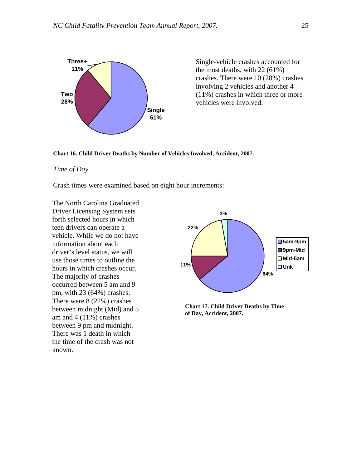

Single-vehicle crashes accounted for the most deaths, with 22 (61%) crashes. There were 10 (28%) crashes involving 2 vehicles and another 4 (11%) crashes in which three or more vehicles were involved.



## *Time of Day*

Crash times were examined based on eight hour increments:

The North Carolina Graduated Driver Licensing System sets forth selected hours in which teen drivers can operate a vehicle. While we do not have information about each driver's level status, we will use those times to outline the hours in which crashes occur. The majority of crashes occurred between 5 am and 9 pm, with 23 (64%) crashes. There were 8 (22%) crashes between midnight (Mid) and 5 am and 4 (11%) crashes between 9 pm and midnight. There was 1 death in which the time of the crash was not known.



**Chart 17. Child Driver Deaths by Time of Day, Accident, 2007.**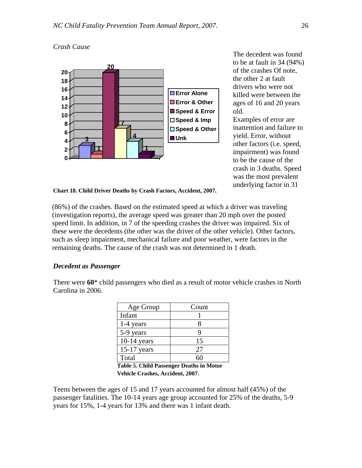



The decedent was found to be at fault in 34 (94%) of the crashes Of note, the other 2 at fault drivers who were not killed were between the ages of 16 and 20 years old.

Examples of error are inattention and failure to yield. Error, without other factors (i.e. speed, impairment) was found to be the cause of the crash in 3 deaths. Speed was the most prevalent underlying factor in 31

**Chart 18. Child Driver Deaths by Crash Factors, Accident, 2007.** 

(86%) of the crashes. Based on the estimated speed at which a driver was traveling (investigation reports), the average speed was greater than 20 mph over the posted speed limit. In addition, in 7 of the speeding crashes the driver was impaired. Six of these were the decedents (the other was the driver of the other vehicle). Other factors, such as sleep impairment, mechanical failure and poor weather, were factors in the remaining deaths. The cause of the crash was not determined in 1 death.

## *Decedent as Passenger*

There were **60**\* child passengers who died as a result of motor vehicle crashes in North Carolina in 2006.

| Age Group     | Count |
|---------------|-------|
| Infant        |       |
| 1-4 years     |       |
| 5-9 years     |       |
| $10-14$ years | 15    |
| $15-17$ years | 27    |
| Total         |       |

**Table 5. Child Passenger Deaths in Motor Vehicle Crashes, Accident, 2007**.

Teens between the ages of 15 and 17 years accounted for almost half (45%) of the passenger fatalities. The 10-14 years age group accounted for 25% of the deaths, 5-9 years for 15%, 1-4 years for 13% and there was 1 infant death.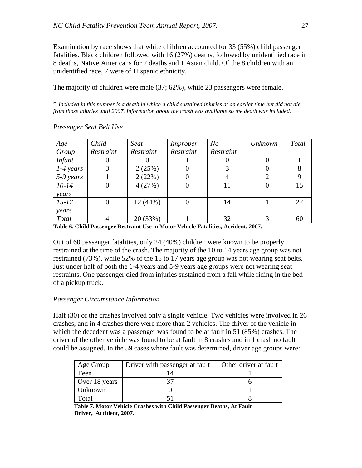Examination by race shows that white children accounted for 33 (55%) child passenger fatalities. Black children followed with 16 (27%) deaths, followed by unidentified race in 8 deaths, Native Americans for 2 deaths and 1 Asian child. Of the 8 children with an unidentified race, 7 were of Hispanic ethnicity.

The majority of children were male (37; 62%), while 23 passengers were female.

\* *Included in this number is a death in which a child sustained injuries at an earlier time but did not die from those injuries until 2007. Information about the crash was available so the death was included.* 

| Age           | Child     | Seat      | Improper  | N <sub>O</sub> | <b>Unknown</b> | Total |
|---------------|-----------|-----------|-----------|----------------|----------------|-------|
| Group         | Restraint | Restraint | Restraint | Restraint      |                |       |
| <b>Infant</b> |           |           |           |                |                |       |
| $1-4$ years   |           | 2(25%)    | $\theta$  |                |                |       |
| 5-9 years     |           | 2(22%)    |           |                |                |       |
| $10-14$       |           | 4(27%)    | $\theta$  | 11             |                | 15    |
| years         |           |           |           |                |                |       |
| $15 - 17$     |           | 12(44%)   | 0         | 14             |                | 27    |
| years         |           |           |           |                |                |       |
| <b>Total</b>  |           | 20 (33%)  |           | 32             |                | 60    |

#### *Passenger Seat Belt Use*

**Table 6. Child Passenger Restraint Use in Motor Vehicle Fatalities, Accident, 2007.** 

Out of 60 passenger fatalities, only 24 (40%) children were known to be properly restrained at the time of the crash. The majority of the 10 to 14 years age group was not restrained (73%), while 52% of the 15 to 17 years age group was not wearing seat belts. Just under half of both the 1-4 years and 5-9 years age groups were not wearing seat restraints. One passenger died from injuries sustained from a fall while riding in the bed of a pickup truck.

## *Passenger Circumstance Information*

Half (30) of the crashes involved only a single vehicle. Two vehicles were involved in 26 crashes, and in 4 crashes there were more than 2 vehicles. The driver of the vehicle in which the decedent was a passenger was found to be at fault in 51 (85%) crashes. The driver of the other vehicle was found to be at fault in 8 crashes and in 1 crash no fault could be assigned. In the 59 cases where fault was determined, driver age groups were:

| Age Group     | Driver with passenger at fault | Other driver at fault |
|---------------|--------------------------------|-----------------------|
| Teen          |                                |                       |
| Over 18 years |                                |                       |
| Unknown       |                                |                       |
| `otal         |                                |                       |

 **Table 7. Motor Vehicle Crashes with Child Passenger Deaths, At Fault Driver, Accident, 2007.**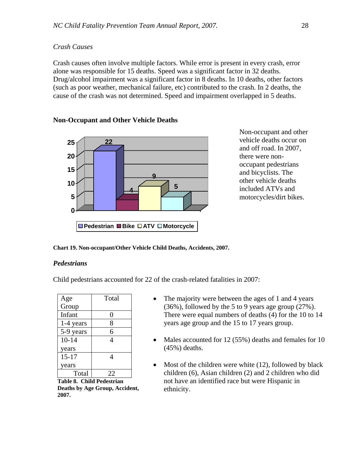## *Crash Causes*

Crash causes often involve multiple factors. While error is present in every crash, error alone was responsible for 15 deaths. Speed was a significant factor in 32 deaths. Drug/alcohol impairment was a significant factor in 8 deaths. In 10 deaths, other factors (such as poor weather, mechanical failure, etc) contributed to the crash. In 2 deaths, the cause of the crash was not determined. Speed and impairment overlapped in 5 deaths.



**Non-Occupant and Other Vehicle Deaths** 

Non-occupant and other vehicle deaths occur on and off road. In 2007, there were nonoccupant pedestrians and bicyclists. The other vehicle deaths included ATVs and motorcycles/dirt bikes.

**Chart 19. Non-occupant/Other Vehicle Child Deaths, Accidents, 2007.** 

## *Pedestrians*

Child pedestrians accounted for 22 of the crash-related fatalities in 2007:

| Age       | Total |
|-----------|-------|
| Group     |       |
| Infant    | 0     |
| 1-4 years | 8     |
| 5-9 years | 6     |
| $10 - 14$ | 4     |
| years     |       |
| $15 - 17$ |       |
| years     |       |
| Total     | 22    |

**Table 8. Child Pedestrian Deaths by Age Group, Accident, 2007.** 

- The majority were between the ages of 1 and 4 years (36%), followed by the 5 to 9 years age group (27%). There were equal numbers of deaths (4) for the 10 to 14 years age group and the 15 to 17 years group.
- Males accounted for 12 (55%) deaths and females for 10 (45%) deaths.
- Most of the children were white (12), followed by black children (6), Asian children (2) and 2 children who did not have an identified race but were Hispanic in ethnicity.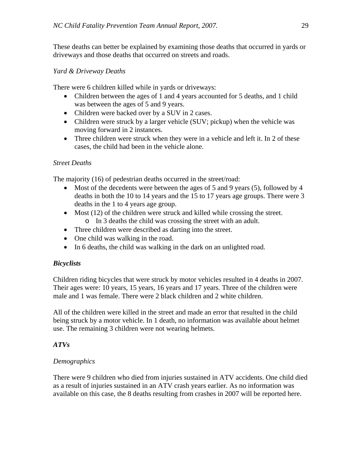These deaths can better be explained by examining those deaths that occurred in yards or driveways and those deaths that occurred on streets and roads.

## *Yard & Driveway Deaths*

There were 6 children killed while in yards or driveways:

- Children between the ages of 1 and 4 years accounted for 5 deaths, and 1 child was between the ages of 5 and 9 years.
- Children were backed over by a SUV in 2 cases.
- Children were struck by a larger vehicle (SUV; pickup) when the vehicle was moving forward in 2 instances.
- Three children were struck when they were in a vehicle and left it. In 2 of these cases, the child had been in the vehicle alone.

## *Street Deaths*

The majority (16) of pedestrian deaths occurred in the street/road:

- Most of the decedents were between the ages of 5 and 9 years (5), followed by 4 deaths in both the 10 to 14 years and the 15 to 17 years age groups. There were 3 deaths in the 1 to 4 years age group.
- Most (12) of the children were struck and killed while crossing the street. o In 3 deaths the child was crossing the street with an adult.
- Three children were described as darting into the street.
- One child was walking in the road.
- In 6 deaths, the child was walking in the dark on an unlighted road.

## *Bicyclists*

Children riding bicycles that were struck by motor vehicles resulted in 4 deaths in 2007. Their ages were: 10 years, 15 years, 16 years and 17 years. Three of the children were male and 1 was female. There were 2 black children and 2 white children.

All of the children were killed in the street and made an error that resulted in the child being struck by a motor vehicle. In 1 death, no information was available about helmet use. The remaining 3 children were not wearing helmets.

## *ATVs*

## *Demographics*

There were 9 children who died from injuries sustained in ATV accidents. One child died as a result of injuries sustained in an ATV crash years earlier. As no information was available on this case, the 8 deaths resulting from crashes in 2007 will be reported here.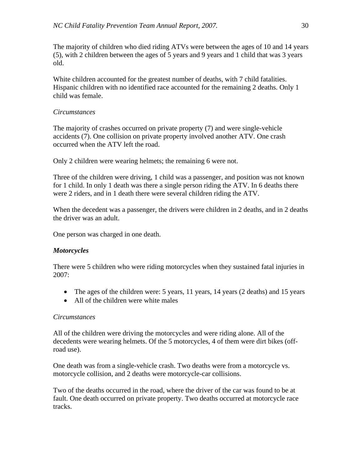The majority of children who died riding ATVs were between the ages of 10 and 14 years (5), with 2 children between the ages of 5 years and 9 years and 1 child that was 3 years old.

White children accounted for the greatest number of deaths, with 7 child fatalities. Hispanic children with no identified race accounted for the remaining 2 deaths. Only 1 child was female.

## *Circumstances*

The majority of crashes occurred on private property (7) and were single-vehicle accidents (7). One collision on private property involved another ATV. One crash occurred when the ATV left the road.

Only 2 children were wearing helmets; the remaining 6 were not.

Three of the children were driving, 1 child was a passenger, and position was not known for 1 child. In only 1 death was there a single person riding the ATV. In 6 deaths there were 2 riders, and in 1 death there were several children riding the ATV.

When the decedent was a passenger, the drivers were children in 2 deaths, and in 2 deaths the driver was an adult.

One person was charged in one death.

## *Motorcycles*

There were 5 children who were riding motorcycles when they sustained fatal injuries in 2007:

- The ages of the children were: 5 years, 11 years, 14 years (2 deaths) and 15 years
- All of the children were white males

## *Circumstances*

All of the children were driving the motorcycles and were riding alone. All of the decedents were wearing helmets. Of the 5 motorcycles, 4 of them were dirt bikes (offroad use).

One death was from a single-vehicle crash. Two deaths were from a motorcycle vs. motorcycle collision, and 2 deaths were motorcycle-car collisions.

Two of the deaths occurred in the road, where the driver of the car was found to be at fault. One death occurred on private property. Two deaths occurred at motorcycle race tracks.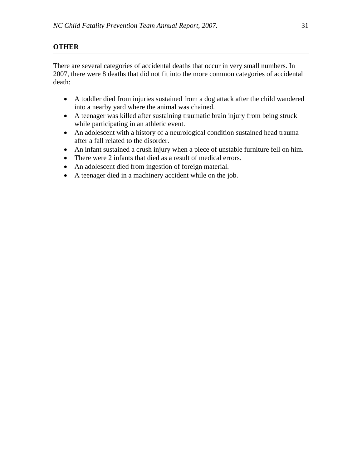## **OTHER**

There are several categories of accidental deaths that occur in very small numbers. In 2007, there were 8 deaths that did not fit into the more common categories of accidental death:

- A toddler died from injuries sustained from a dog attack after the child wandered into a nearby yard where the animal was chained.
- A teenager was killed after sustaining traumatic brain injury from being struck while participating in an athletic event.
- An adolescent with a history of a neurological condition sustained head trauma after a fall related to the disorder.
- An infant sustained a crush injury when a piece of unstable furniture fell on him.
- There were 2 infants that died as a result of medical errors.
- An adolescent died from ingestion of foreign material.
- A teenager died in a machinery accident while on the job.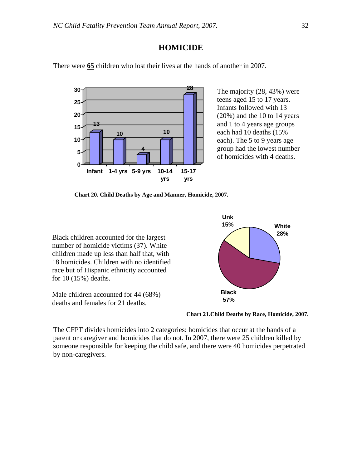## **HOMICIDE**

There were **65** children who lost their lives at the hands of another in 2007.



The majority (28, 43%) were teens aged 15 to 17 years. Infants followed with 13 (20%) and the 10 to 14 years and 1 to 4 years age groups each had 10 deaths (15% each). The 5 to 9 years age group had the lowest number of homicides with 4 deaths.

**Chart 20. Child Deaths by Age and Manner, Homicide, 2007.** 

Black children accounted for the largest number of homicide victims (37). White children made up less than half that, with 18 homicides. Children with no identified race but of Hispanic ethnicity accounted for 10 (15%) deaths.

Male children accounted for 44 (68%) deaths and females for 21 deaths.



**Chart 21.Child Deaths by Race, Homicide, 2007.** 

The CFPT divides homicides into 2 categories: homicides that occur at the hands of a parent or caregiver and homicides that do not. In 2007, there were 25 children killed by someone responsible for keeping the child safe, and there were 40 homicides perpetrated by non-caregivers.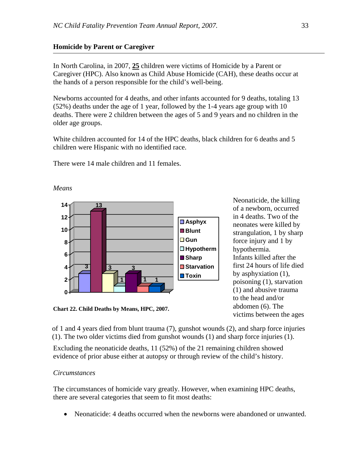## **Homicide by Parent or Caregiver**

In North Carolina, in 2007, **25** children were victims of Homicide by a Parent or Caregiver (HPC). Also known as Child Abuse Homicide (CAH), these deaths occur at the hands of a person responsible for the child's well-being.

Newborns accounted for 4 deaths, and other infants accounted for 9 deaths, totaling 13 (52%) deaths under the age of 1 year, followed by the 1-4 years age group with 10 deaths. There were 2 children between the ages of 5 and 9 years and no children in the older age groups.

White children accounted for 14 of the HPC deaths, black children for 6 deaths and 5 children were Hispanic with no identified race.

There were 14 male children and 11 females.



Neonaticide, the killing of a newborn, occurred in 4 deaths. Two of the neonates were killed by strangulation, 1 by sharp force injury and 1 by hypothermia. Infants killed after the first 24 hours of life died by asphyxiation (1), poisoning (1), starvation (1) and abusive trauma to the head and/or abdomen (6). The victims between the ages

**Chart 22. Child Deaths by Means, HPC, 2007.**

of 1 and 4 years died from blunt trauma (7), gunshot wounds (2), and sharp force injuries (1). The two older victims died from gunshot wounds (1) and sharp force injuries (1).

Excluding the neonaticide deaths, 11 (52%) of the 21 remaining children showed evidence of prior abuse either at autopsy or through review of the child's history.

## *Circumstances*

The circumstances of homicide vary greatly. However, when examining HPC deaths, there are several categories that seem to fit most deaths:

• Neonaticide: 4 deaths occurred when the newborns were abandoned or unwanted.

*Means*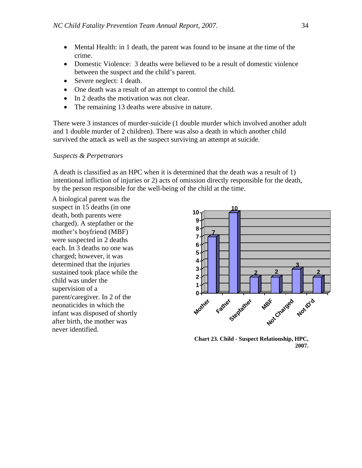- Mental Health: in 1 death, the parent was found to be insane at the time of the crime.
- Domestic Violence: 3 deaths were believed to be a result of domestic violence between the suspect and the child's parent.
- Severe neglect: 1 death.
- One death was a result of an attempt to control the child.
- In 2 deaths the motivation was not clear.
- The remaining 13 deaths were abusive in nature.

There were 3 instances of murder-suicide (1 double murder which involved another adult and 1 double murder of 2 children). There was also a death in which another child survived the attack as well as the suspect surviving an attempt at suicide.

#### *Suspects & Perpetrators*

A death is classified as an HPC when it is determined that the death was a result of 1) intentional infliction of injuries or 2) acts of omission directly responsible for the death, by the person responsible for the well-being of the child at the time.

A biological parent was the suspect in 15 deaths (in one death, both parents were charged). A stepfather or the mother's boyfriend (MBF) were suspected in 2 deaths each. In 3 deaths no one was charged; however, it was determined that the injuries sustained took place while the child was under the supervision of a parent/caregiver. In 2 of the neonaticides in which the infant was disposed of shortly after birth, the mother was never identified.



 **Chart 23. Child - Suspect Relationship, HPC, 2007.**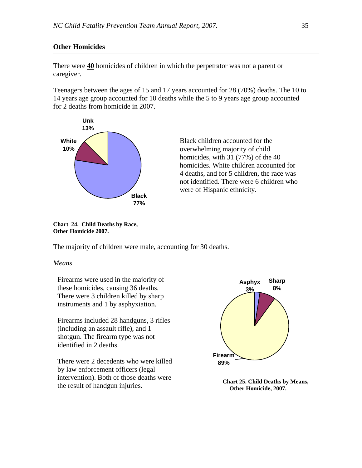## **Other Homicides**

There were **40** homicides of children in which the perpetrator was not a parent or caregiver.

Teenagers between the ages of 15 and 17 years accounted for 28 (70%) deaths. The 10 to 14 years age group accounted for 10 deaths while the 5 to 9 years age group accounted for 2 deaths from homicide in 2007.



Black children accounted for the overwhelming majority of child homicides, with 31 (77%) of the 40 homicides. White children accounted for 4 deaths, and for 5 children, the race was not identified. There were 6 children who were of Hispanic ethnicity.

**Chart 24. Child Deaths by Race, Other Homicide 2007.** 

The majority of children were male, accounting for 30 deaths.

## *Means*

Firearms were used in the majority of these homicides, causing 36 deaths. There were 3 children killed by sharp instruments and 1 by asphyxiation.

Firearms included 28 handguns, 3 rifles (including an assault rifle), and 1 shotgun. The firearm type was not identified in 2 deaths.

There were 2 decedents who were killed by law enforcement officers (legal intervention). Both of those deaths were the result of handgun injuries.



**Chart 25. Child Deaths by Means, Other Homicide, 2007.**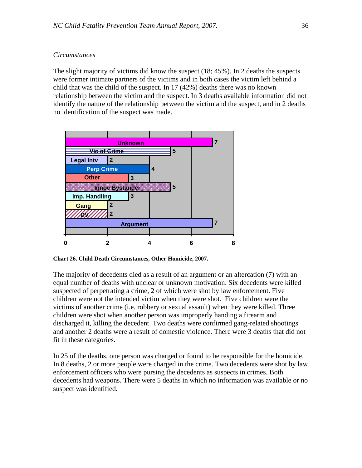## *Circumstances*

The slight majority of victims did know the suspect (18; 45%). In 2 deaths the suspects were former intimate partners of the victims and in both cases the victim left behind a child that was the child of the suspect. In 17 (42%) deaths there was no known relationship between the victim and the suspect. In 3 deaths available information did not identify the nature of the relationship between the victim and the suspect, and in 2 deaths no identification of the suspect was made.



**Chart 26. Child Death Circumstances, Other Homicide, 2007.** 

The majority of decedents died as a result of an argument or an altercation (7) with an equal number of deaths with unclear or unknown motivation. Six decedents were killed suspected of perpetrating a crime, 2 of which were shot by law enforcement. Five children were not the intended victim when they were shot. Five children were the victims of another crime (i.e. robbery or sexual assault) when they were killed. Three children were shot when another person was improperly handing a firearm and discharged it, killing the decedent. Two deaths were confirmed gang-related shootings and another 2 deaths were a result of domestic violence. There were 3 deaths that did not fit in these categories.

In 25 of the deaths, one person was charged or found to be responsible for the homicide. In 8 deaths, 2 or more people were charged in the crime. Two decedents were shot by law enforcement officers who were pursing the decedents as suspects in crimes. Both decedents had weapons. There were 5 deaths in which no information was available or no suspect was identified.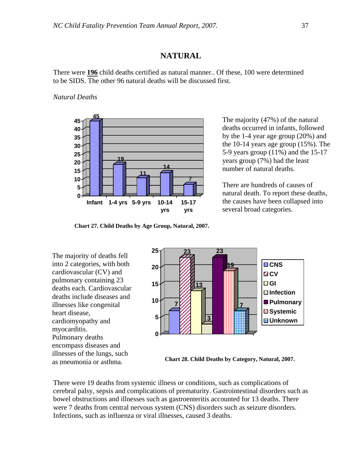## **NATURAL**

There were **196** child deaths certified as natural manner.. Of these, 100 were determined to be SIDS. The other 96 natural deaths will be discussed first.

*Natural Deaths* 



The majority (47%) of the natural deaths occurred in infants, followed by the 1-4 year age group (20%) and the 10-14 years age group (15%). The 5-9 years group (11%) and the 15-17 years group (7%) had the least number of natural deaths.

There are hundreds of causes of natural death. To report these deaths, the causes have been collapsed into several broad categories.

**Chart 27. Child Deaths by Age Group, Natural, 2007.** 

The majority of deaths fell into 2 categories, with both cardiovascular (CV) and pulmonary containing 23 deaths each. Cardiovascular deaths include diseases and illnesses like congenital heart disease, cardiomyopathy and myocarditis. Pulmonary deaths encompass diseases and illnesses of the lungs, such as pneumonia or asthma.



**Chart 28. Child Deaths by Category, Natural, 2007.** 

There were 19 deaths from systemic illness or conditions, such as complications of cerebral palsy, sepsis and complications of prematurity. Gastrointestinal disorders such as bowel obstructions and illnesses such as gastroenteritis accounted for 13 deaths. There were 7 deaths from central nervous system (CNS) disorders such as seizure disorders. Infections, such as influenza or viral illnesses, caused 3 deaths.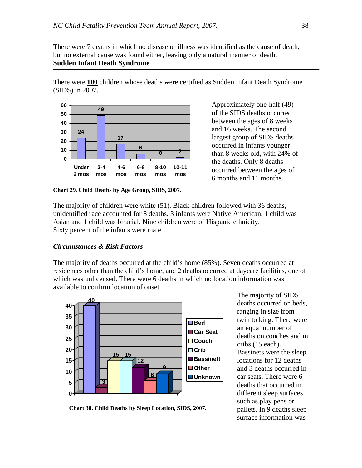There were 7 deaths in which no disease or illness was identified as the cause of death, but no external cause was found either, leaving only a natural manner of death. **Sudden Infant Death Syndrome** 

There were **100** children whose deaths were certified as Sudden Infant Death Syndrome (SIDS) in 2007.



**Chart 29. Child Deaths by Age Group, SIDS, 2007.** 

Approximately one-half (49) of the SIDS deaths occurred between the ages of 8 weeks and 16 weeks. The second largest group of SIDS deaths occurred in infants younger than 8 weeks old, with 24% of the deaths. Only 8 deaths occurred between the ages of 6 months and 11 months.

The majority of children were white (51). Black children followed with 36 deaths, unidentified race accounted for 8 deaths, 3 infants were Native American, 1 child was Asian and 1 child was biracial. Nine children were of Hispanic ethnicity. Sixty percent of the infants were male..

#### *Circumstances & Risk Factors*

The majority of deaths occurred at the child's home (85%). Seven deaths occurred at residences other than the child's home, and 2 deaths occurred at daycare facilities, one of which was unlicensed. There were 6 deaths in which no location information was available to confirm location of onset.



The majority of SIDS deaths occurred on beds, ranging in size from twin to king. There were an equal number of deaths on couches and in cribs (15 each). Bassinets were the sleep locations for 12 deaths and 3 deaths occurred in car seats. There were 6 deaths that occurred in different sleep surfaces such as play pens or pallets. In 9 deaths sleep surface information was

**Chart 30. Child Deaths by Sleep Location, SIDS, 2007.**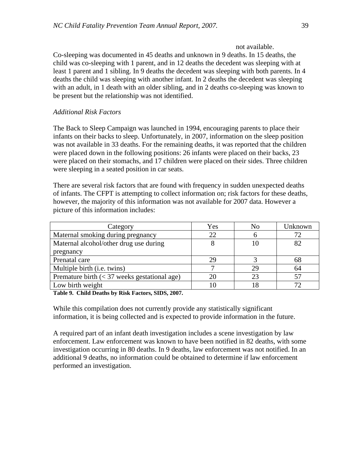Co-sleeping was documented in 45 deaths and unknown in 9 deaths. In 15 deaths, the child was co-sleeping with 1 parent, and in 12 deaths the decedent was sleeping with at least 1 parent and 1 sibling. In 9 deaths the decedent was sleeping with both parents. In 4 deaths the child was sleeping with another infant. In 2 deaths the decedent was sleeping with an adult, in 1 death with an older sibling, and in 2 deaths co-sleeping was known to be present but the relationship was not identified.

## *Additional Risk Factors*

The Back to Sleep Campaign was launched in 1994, encouraging parents to place their infants on their backs to sleep. Unfortunately, in 2007, information on the sleep position was not available in 33 deaths. For the remaining deaths, it was reported that the children were placed down in the following positions: 26 infants were placed on their backs, 23 were placed on their stomachs, and 17 children were placed on their sides. Three children were sleeping in a seated position in car seats.

There are several risk factors that are found with frequency in sudden unexpected deaths of infants. The CFPT is attempting to collect information on; risk factors for these deaths, however, the majority of this information was not available for 2007 data. However a picture of this information includes:

| Category                                       | Yes | No | Unknown |
|------------------------------------------------|-----|----|---------|
| Maternal smoking during pregnancy              | 22  |    | 72      |
| Maternal alcohol/other drug use during         |     | 10 | 82      |
| pregnancy                                      |     |    |         |
| Prenatal care                                  | 29  |    | 68      |
| Multiple birth ( <i>i.e.</i> twins)            |     | 29 | 64      |
| Premature birth $(< 37$ weeks gestational age) |     | 23 |         |
| Low birth weight                               |     |    |         |

**Table 9. Child Deaths by Risk Factors, SIDS, 2007.** 

While this compilation does not currently provide any statistically significant information, it is being collected and is expected to provide information in the future.

A required part of an infant death investigation includes a scene investigation by law enforcement. Law enforcement was known to have been notified in 82 deaths, with some investigation occurring in 80 deaths. In 9 deaths, law enforcement was not notified. In an additional 9 deaths, no information could be obtained to determine if law enforcement performed an investigation.

not available.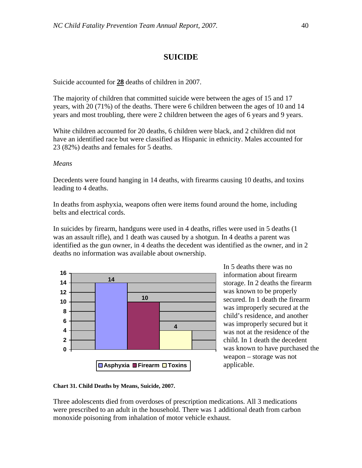## **SUICIDE**

Suicide accounted for **28** deaths of children in 2007.

The majority of children that committed suicide were between the ages of 15 and 17 years, with 20 (71%) of the deaths. There were 6 children between the ages of 10 and 14 years and most troubling, there were 2 children between the ages of 6 years and 9 years.

White children accounted for 20 deaths, 6 children were black, and 2 children did not have an identified race but were classified as Hispanic in ethnicity. Males accounted for 23 (82%) deaths and females for 5 deaths.

#### *Means*

Decedents were found hanging in 14 deaths, with firearms causing 10 deaths, and toxins leading to 4 deaths.

In deaths from asphyxia, weapons often were items found around the home, including belts and electrical cords.

In suicides by firearm, handguns were used in 4 deaths, rifles were used in 5 deaths (1 was an assault rifle), and 1 death was caused by a shotgun. In 4 deaths a parent was identified as the gun owner, in 4 deaths the decedent was identified as the owner, and in 2 deaths no information was available about ownership.



In 5 deaths there was no information about firearm storage. In 2 deaths the firearm was known to be properly secured. In 1 death the firearm was improperly secured at the child's residence, and another was improperly secured but it was not at the residence of the child. In 1 death the decedent was known to have purchased the weapon – storage was not applicable.

**Chart 31. Child Deaths by Means, Suicide, 2007.** 

Three adolescents died from overdoses of prescription medications. All 3 medications were prescribed to an adult in the household. There was 1 additional death from carbon monoxide poisoning from inhalation of motor vehicle exhaust.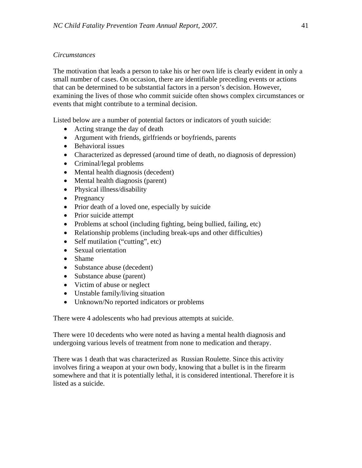## *Circumstances*

The motivation that leads a person to take his or her own life is clearly evident in only a small number of cases. On occasion, there are identifiable preceding events or actions that can be determined to be substantial factors in a person's decision. However, examining the lives of those who commit suicide often shows complex circumstances or events that might contribute to a terminal decision.

Listed below are a number of potential factors or indicators of youth suicide:

- Acting strange the day of death
- Argument with friends, girlfriends or boyfriends, parents
- Behavioral issues
- Characterized as depressed (around time of death, no diagnosis of depression)
- Criminal/legal problems
- Mental health diagnosis (decedent)
- Mental health diagnosis (parent)
- Physical illness/disability
- Pregnancy
- Prior death of a loved one, especially by suicide
- Prior suicide attempt
- Problems at school (including fighting, being bullied, failing, etc)
- Relationship problems (including break-ups and other difficulties)
- Self mutilation ("cutting", etc)
- Sexual orientation
- Shame
- Substance abuse (decedent)
- Substance abuse (parent)
- Victim of abuse or neglect
- Unstable family/living situation
- Unknown/No reported indicators or problems

There were 4 adolescents who had previous attempts at suicide.

There were 10 decedents who were noted as having a mental health diagnosis and undergoing various levels of treatment from none to medication and therapy.

There was 1 death that was characterized as Russian Roulette. Since this activity involves firing a weapon at your own body, knowing that a bullet is in the firearm somewhere and that it is potentially lethal, it is considered intentional. Therefore it is listed as a suicide.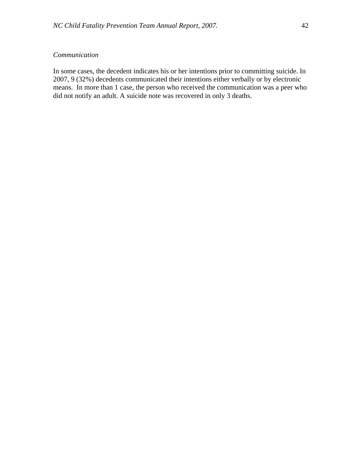## *Communication*

In some cases, the decedent indicates his or her intentions prior to committing suicide. In 2007, 9 (32%) decedents communicated their intentions either verbally or by electronic means. In more than 1 case, the person who received the communication was a peer who did not notify an adult. A suicide note was recovered in only 3 deaths.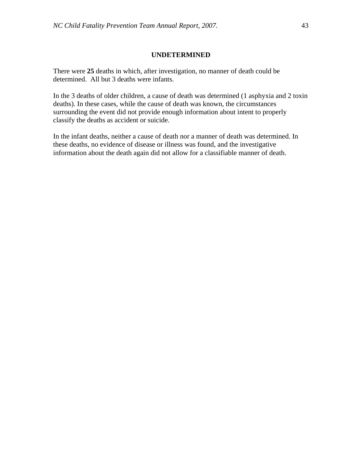#### **UNDETERMINED**

There were **25** deaths in which, after investigation, no manner of death could be determined. All but 3 deaths were infants.

In the 3 deaths of older children, a cause of death was determined (1 asphyxia and 2 toxin deaths). In these cases, while the cause of death was known, the circumstances surrounding the event did not provide enough information about intent to properly classify the deaths as accident or suicide.

In the infant deaths, neither a cause of death nor a manner of death was determined. In these deaths, no evidence of disease or illness was found, and the investigative information about the death again did not allow for a classifiable manner of death.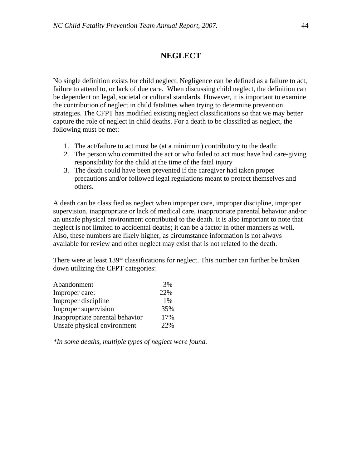## **NEGLECT**

No single definition exists for child neglect. Negligence can be defined as a failure to act, failure to attend to, or lack of due care. When discussing child neglect, the definition can be dependent on legal, societal or cultural standards. However, it is important to examine the contribution of neglect in child fatalities when trying to determine prevention strategies. The CFPT has modified existing neglect classifications so that we may better capture the role of neglect in child deaths. For a death to be classified as neglect, the following must be met:

- 1. The act/failure to act must be (at a minimum) contributory to the death:
- 2. The person who committed the act or who failed to act must have had care-giving responsibility for the child at the time of the fatal injury
- 3. The death could have been prevented if the caregiver had taken proper precautions and/or followed legal regulations meant to protect themselves and others.

A death can be classified as neglect when improper care, improper discipline, improper supervision, inappropriate or lack of medical care, inappropriate parental behavior and/or an unsafe physical environment contributed to the death. It is also important to note that neglect is not limited to accidental deaths; it can be a factor in other manners as well. Also, these numbers are likely higher, as circumstance information is not always available for review and other neglect may exist that is not related to the death.

There were at least 139<sup>\*</sup> classifications for neglect. This number can further be broken down utilizing the CFPT categories:

| Abandonment                     | 3%  |
|---------------------------------|-----|
| Improper care:                  | 22% |
| Improper discipline             | 1%  |
| Improper supervision            | 35% |
| Inappropriate parental behavior | 17% |
| Unsafe physical environment     | 22% |

*\*In some deaths, multiple types of neglect were found.*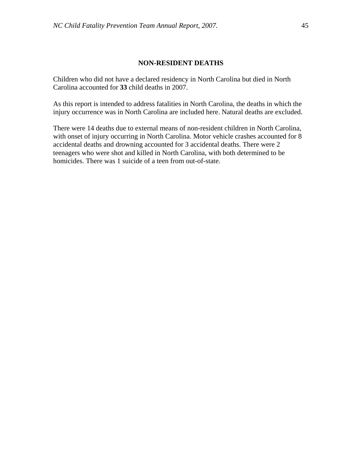## **NON-RESIDENT DEATHS**

Children who did not have a declared residency in North Carolina but died in North Carolina accounted for **33** child deaths in 2007.

As this report is intended to address fatalities in North Carolina, the deaths in which the injury occurrence was in North Carolina are included here. Natural deaths are excluded.

There were 14 deaths due to external means of non-resident children in North Carolina, with onset of injury occurring in North Carolina. Motor vehicle crashes accounted for 8 accidental deaths and drowning accounted for 3 accidental deaths. There were 2 teenagers who were shot and killed in North Carolina, with both determined to be homicides. There was 1 suicide of a teen from out-of-state.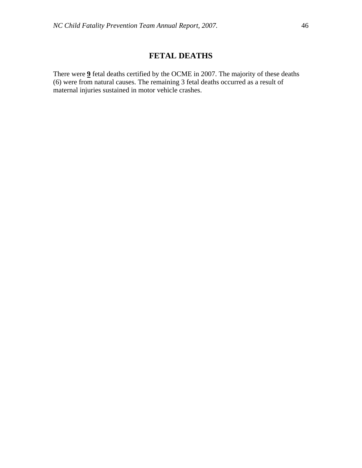## **FETAL DEATHS**

There were **9** fetal deaths certified by the OCME in 2007. The majority of these deaths (6) were from natural causes. The remaining 3 fetal deaths occurred as a result of maternal injuries sustained in motor vehicle crashes.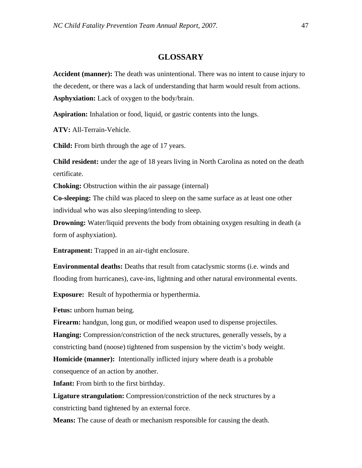## **GLOSSARY**

**Accident (manner):** The death was unintentional. There was no intent to cause injury to the decedent, or there was a lack of understanding that harm would result from actions. **Asphyxiation:** Lack of oxygen to the body/brain.

**Aspiration:** Inhalation or food, liquid, or gastric contents into the lungs.

**ATV:** All-Terrain-Vehicle.

**Child:** From birth through the age of 17 years.

**Child resident:** under the age of 18 years living in North Carolina as noted on the death certificate.

**Choking:** Obstruction within the air passage (internal)

**Co-sleeping:** The child was placed to sleep on the same surface as at least one other individual who was also sleeping/intending to sleep.

**Drowning:** Water/liquid prevents the body from obtaining oxygen resulting in death (a form of asphyxiation).

**Entrapment:** Trapped in an air-tight enclosure.

**Environmental deaths:** Deaths that result from cataclysmic storms (i.e. winds and flooding from hurricanes), cave-ins, lightning and other natural environmental events.

**Exposure:** Result of hypothermia or hyperthermia.

**Fetus:** unborn human being.

**Firearm:** handgun, long gun, or modified weapon used to dispense projectiles. **Hanging:** Compression/constriction of the neck structures, generally vessels, by a constricting band (noose) tightened from suspension by the victim's body weight.

**Homicide (manner):** Intentionally inflicted injury where death is a probable consequence of an action by another.

**Infant:** From birth to the first birthday.

**Ligature strangulation:** Compression/constriction of the neck structures by a constricting band tightened by an external force.

**Means:** The cause of death or mechanism responsible for causing the death.